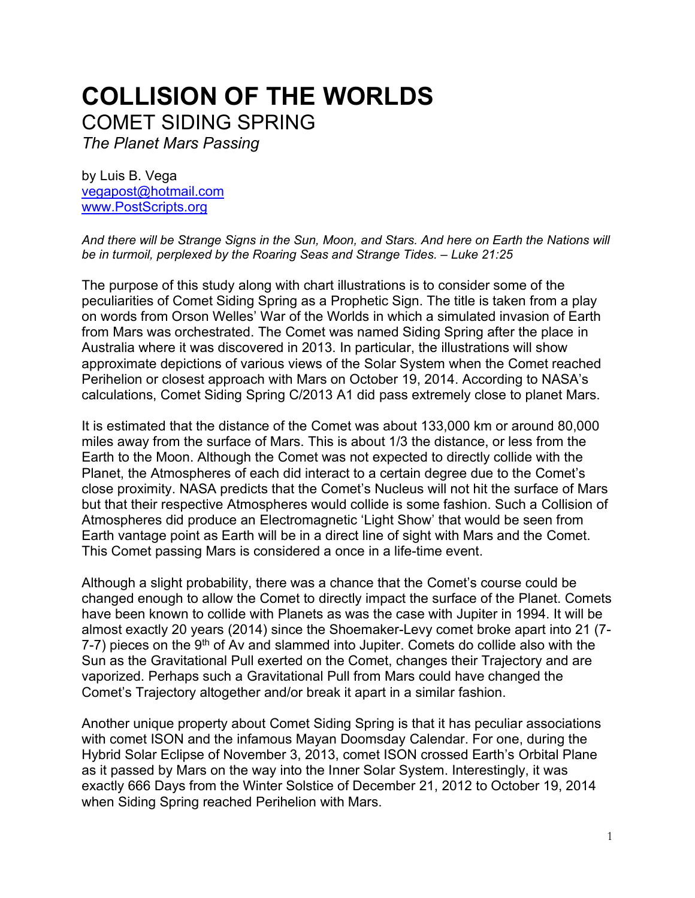# **COLLISION OF THE WORLDS** COMET SIDING SPRING

*The Planet Mars Passing*

by Luis B. Vega [vegapost@hotmail.com](mailto:vegapost@hotmail.com) [www.PostScripts.org](http://www.postscripts.org/)

*And there will be Strange Signs in the Sun, Moon, and Stars. And here on Earth the Nations will be in turmoil, perplexed by the Roaring Seas and Strange Tides. – Luke 21:25*

The purpose of this study along with chart illustrations is to consider some of the peculiarities of Comet Siding Spring as a Prophetic Sign. The title is taken from a play on words from Orson Welles' War of the Worlds in which a simulated invasion of Earth from Mars was orchestrated. The Comet was named Siding Spring after the place in Australia where it was discovered in 2013. In particular, the illustrations will show approximate depictions of various views of the Solar System when the Comet reached Perihelion or closest approach with Mars on October 19, 2014. According to NASA's calculations, Comet Siding Spring C/2013 A1 did pass extremely close to planet Mars.

It is estimated that the distance of the Comet was about 133,000 km or around 80,000 miles away from the surface of Mars. This is about 1/3 the distance, or less from the Earth to the Moon. Although the Comet was not expected to directly collide with the Planet, the Atmospheres of each did interact to a certain degree due to the Comet's close proximity. NASA predicts that the Comet's Nucleus will not hit the surface of Mars but that their respective Atmospheres would collide is some fashion. Such a Collision of Atmospheres did produce an Electromagnetic 'Light Show' that would be seen from Earth vantage point as Earth will be in a direct line of sight with Mars and the Comet. This Comet passing Mars is considered a once in a life-time event.

Although a slight probability, there was a chance that the Comet's course could be changed enough to allow the Comet to directly impact the surface of the Planet. Comets have been known to collide with Planets as was the case with Jupiter in 1994. It will be almost exactly 20 years (2014) since the Shoemaker-Levy comet broke apart into 21 (7- 7-7) pieces on the  $9<sup>th</sup>$  of Av and slammed into Jupiter. Comets do collide also with the Sun as the Gravitational Pull exerted on the Comet, changes their Trajectory and are vaporized. Perhaps such a Gravitational Pull from Mars could have changed the Comet's Trajectory altogether and/or break it apart in a similar fashion.

Another unique property about Comet Siding Spring is that it has peculiar associations with comet ISON and the infamous Mayan Doomsday Calendar. For one, during the Hybrid Solar Eclipse of November 3, 2013, comet ISON crossed Earth's Orbital Plane as it passed by Mars on the way into the Inner Solar System. Interestingly, it was exactly 666 Days from the Winter Solstice of December 21, 2012 to October 19, 2014 when Siding Spring reached Perihelion with Mars.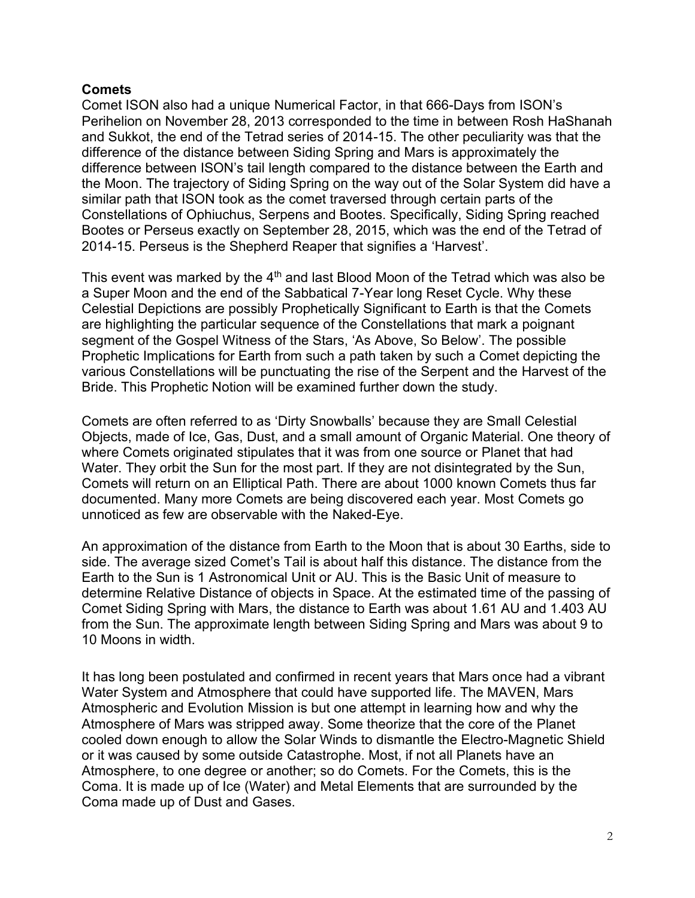### **Comets**

Comet ISON also had a unique Numerical Factor, in that 666-Days from ISON's Perihelion on November 28, 2013 corresponded to the time in between Rosh HaShanah and Sukkot, the end of the Tetrad series of 2014-15. The other peculiarity was that the difference of the distance between Siding Spring and Mars is approximately the difference between ISON's tail length compared to the distance between the Earth and the Moon. The trajectory of Siding Spring on the way out of the Solar System did have a similar path that ISON took as the comet traversed through certain parts of the Constellations of Ophiuchus, Serpens and Bootes. Specifically, Siding Spring reached Bootes or Perseus exactly on September 28, 2015, which was the end of the Tetrad of 2014-15. Perseus is the Shepherd Reaper that signifies a 'Harvest'.

This event was marked by the  $4<sup>th</sup>$  and last Blood Moon of the Tetrad which was also be a Super Moon and the end of the Sabbatical 7-Year long Reset Cycle. Why these Celestial Depictions are possibly Prophetically Significant to Earth is that the Comets are highlighting the particular sequence of the Constellations that mark a poignant segment of the Gospel Witness of the Stars, 'As Above, So Below'. The possible Prophetic Implications for Earth from such a path taken by such a Comet depicting the various Constellations will be punctuating the rise of the Serpent and the Harvest of the Bride. This Prophetic Notion will be examined further down the study.

Comets are often referred to as 'Dirty Snowballs' because they are Small Celestial Objects, made of Ice, Gas, Dust, and a small amount of Organic Material. One theory of where Comets originated stipulates that it was from one source or Planet that had Water. They orbit the Sun for the most part. If they are not disintegrated by the Sun, Comets will return on an Elliptical Path. There are about 1000 known Comets thus far documented. Many more Comets are being discovered each year. Most Comets go unnoticed as few are observable with the Naked-Eye.

An approximation of the distance from Earth to the Moon that is about 30 Earths, side to side. The average sized Comet's Tail is about half this distance. The distance from the Earth to the Sun is 1 Astronomical Unit or AU. This is the Basic Unit of measure to determine Relative Distance of objects in Space. At the estimated time of the passing of Comet Siding Spring with Mars, the distance to Earth was about 1.61 AU and 1.403 AU from the Sun. The approximate length between Siding Spring and Mars was about 9 to 10 Moons in width.

It has long been postulated and confirmed in recent years that Mars once had a vibrant Water System and Atmosphere that could have supported life. The MAVEN, Mars Atmospheric and Evolution Mission is but one attempt in learning how and why the Atmosphere of Mars was stripped away. Some theorize that the core of the Planet cooled down enough to allow the Solar Winds to dismantle the Electro-Magnetic Shield or it was caused by some outside Catastrophe. Most, if not all Planets have an Atmosphere, to one degree or another; so do Comets. For the Comets, this is the Coma. It is made up of Ice (Water) and Metal Elements that are surrounded by the Coma made up of Dust and Gases.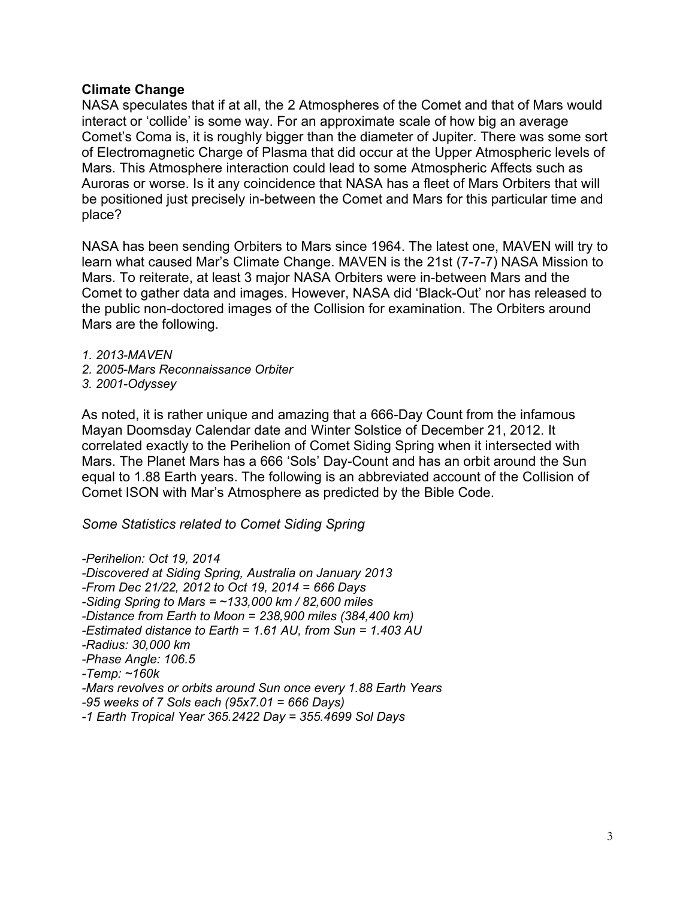### **Climate Change**

NASA speculates that if at all, the 2 Atmospheres of the Comet and that of Mars would interact or 'collide' is some way. For an approximate scale of how big an average Comet's Coma is, it is roughly bigger than the diameter of Jupiter. There was some sort of Electromagnetic Charge of Plasma that did occur at the Upper Atmospheric levels of Mars. This Atmosphere interaction could lead to some Atmospheric Affects such as Auroras or worse. Is it any coincidence that NASA has a fleet of Mars Orbiters that will be positioned just precisely in-between the Comet and Mars for this particular time and place?

NASA has been sending Orbiters to Mars since 1964. The latest one, MAVEN will try to learn what caused Mar's Climate Change. MAVEN is the 21st (7-7-7) NASA Mission to Mars. To reiterate, at least 3 major NASA Orbiters were in-between Mars and the Comet to gather data and images. However, NASA did 'Black-Out' nor has released to the public non-doctored images of the Collision for examination. The Orbiters around Mars are the following.

*1. 2013-MAVEN*

*2. 2005-Mars Reconnaissance Orbiter*

*3. 2001-Odyssey*

As noted, it is rather unique and amazing that a 666-Day Count from the infamous Mayan Doomsday Calendar date and Winter Solstice of December 21, 2012. It correlated exactly to the Perihelion of Comet Siding Spring when it intersected with Mars. The Planet Mars has a 666 'Sols' Day-Count and has an orbit around the Sun equal to 1.88 Earth years. The following is an abbreviated account of the Collision of Comet ISON with Mar's Atmosphere as predicted by the Bible Code.

*Some Statistics related to Comet Siding Spring*

*-Perihelion: Oct 19, 2014 -Discovered at Siding Spring, Australia on January 2013 -From Dec 21/22, 2012 to Oct 19, 2014 = 666 Days -Siding Spring to Mars = ~133,000 km / 82,600 miles -Distance from Earth to Moon = 238,900 miles (384,400 km) -Estimated distance to Earth = 1.61 AU, from Sun = 1.403 AU -Radius: 30,000 km -Phase Angle: 106.5 -Temp: ~160k -Mars revolves or orbits around Sun once every 1.88 Earth Years -95 weeks of 7 Sols each (95x7.01 = 666 Days) -1 Earth Tropical Year 365.2422 Day = 355.4699 Sol Days*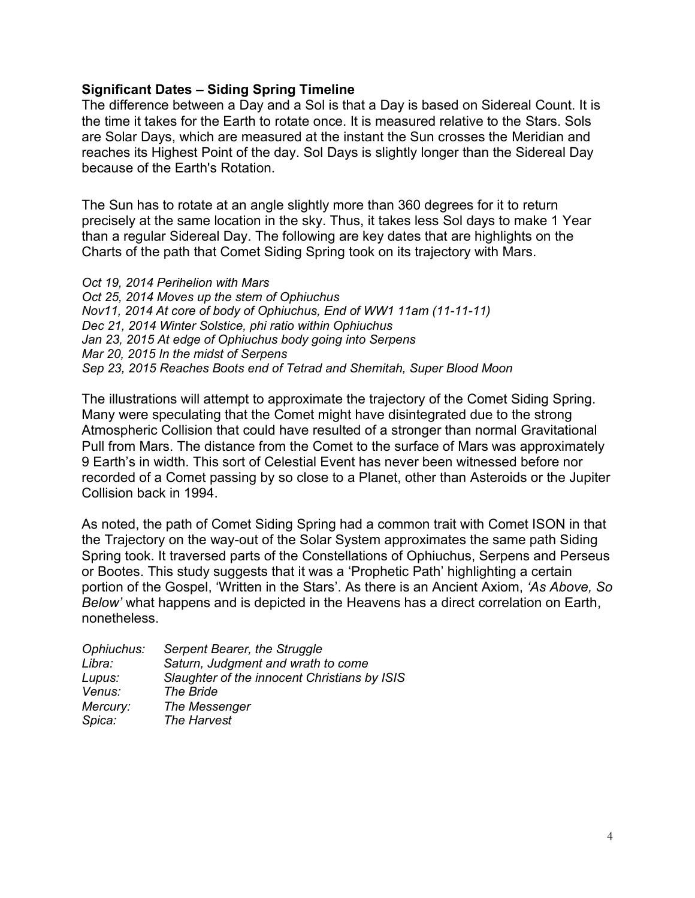#### **Significant Dates – Siding Spring Timeline**

The difference between a Day and a Sol is that a Day is based on Sidereal Count. It is the time it takes for the Earth to rotate once. It is measured relative to the Stars. Sols are Solar Days, which are measured at the instant the Sun crosses the Meridian and reaches its Highest Point of the day. Sol Days is slightly longer than the Sidereal Day because of the Earth's Rotation.

The Sun has to rotate at an angle slightly more than 360 degrees for it to return precisely at the same location in the sky. Thus, it takes less Sol days to make 1 Year than a regular Sidereal Day. The following are key dates that are highlights on the Charts of the path that Comet Siding Spring took on its trajectory with Mars.

*Oct 19, 2014 Perihelion with Mars Oct 25, 2014 Moves up the stem of Ophiuchus Nov11, 2014 At core of body of Ophiuchus, End of WW1 11am (11-11-11) Dec 21, 2014 Winter Solstice, phi ratio within Ophiuchus Jan 23, 2015 At edge of Ophiuchus body going into Serpens Mar 20, 2015 In the midst of Serpens Sep 23, 2015 Reaches Boots end of Tetrad and Shemitah, Super Blood Moon*

The illustrations will attempt to approximate the trajectory of the Comet Siding Spring. Many were speculating that the Comet might have disintegrated due to the strong Atmospheric Collision that could have resulted of a stronger than normal Gravitational Pull from Mars. The distance from the Comet to the surface of Mars was approximately 9 Earth's in width. This sort of Celestial Event has never been witnessed before nor recorded of a Comet passing by so close to a Planet, other than Asteroids or the Jupiter Collision back in 1994.

As noted, the path of Comet Siding Spring had a common trait with Comet ISON in that the Trajectory on the way-out of the Solar System approximates the same path Siding Spring took. It traversed parts of the Constellations of Ophiuchus, Serpens and Perseus or Bootes. This study suggests that it was a 'Prophetic Path' highlighting a certain portion of the Gospel, 'Written in the Stars'. As there is an Ancient Axiom, *'As Above, So Below'* what happens and is depicted in the Heavens has a direct correlation on Earth, nonetheless.

| Ophiuchus: | Serpent Bearer, the Struggle                 |
|------------|----------------------------------------------|
| Libra:     | Saturn, Judgment and wrath to come           |
| Lupus:     | Slaughter of the innocent Christians by ISIS |
| Venus:     | The Bride                                    |
| Mercury:   | The Messenger                                |
| Spica:     | The Harvest                                  |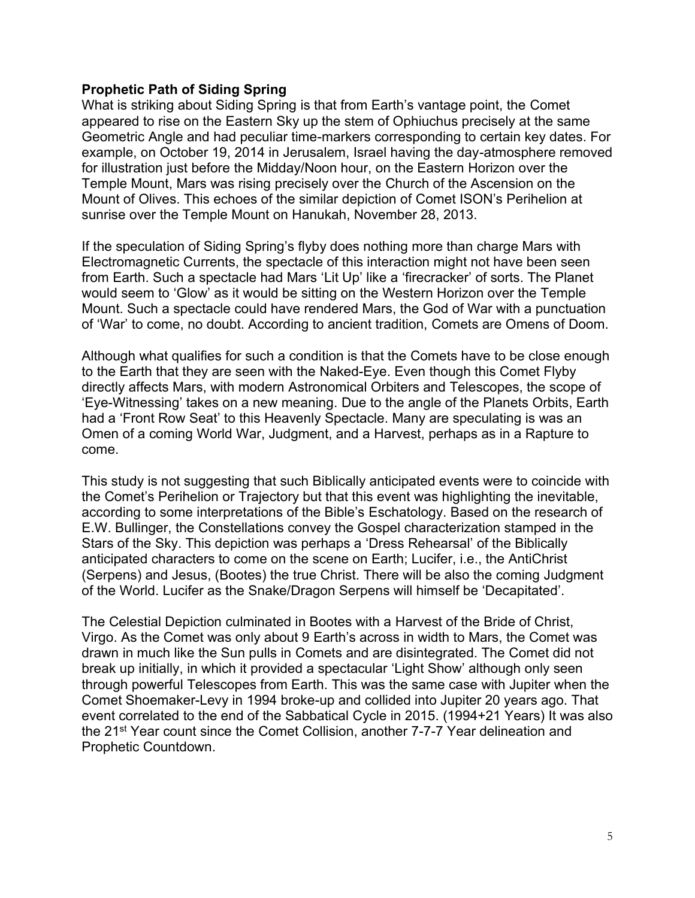### **Prophetic Path of Siding Spring**

What is striking about Siding Spring is that from Earth's vantage point, the Comet appeared to rise on the Eastern Sky up the stem of Ophiuchus precisely at the same Geometric Angle and had peculiar time-markers corresponding to certain key dates. For example, on October 19, 2014 in Jerusalem, Israel having the day-atmosphere removed for illustration just before the Midday/Noon hour, on the Eastern Horizon over the Temple Mount, Mars was rising precisely over the Church of the Ascension on the Mount of Olives. This echoes of the similar depiction of Comet ISON's Perihelion at sunrise over the Temple Mount on Hanukah, November 28, 2013.

If the speculation of Siding Spring's flyby does nothing more than charge Mars with Electromagnetic Currents, the spectacle of this interaction might not have been seen from Earth. Such a spectacle had Mars 'Lit Up' like a 'firecracker' of sorts. The Planet would seem to 'Glow' as it would be sitting on the Western Horizon over the Temple Mount. Such a spectacle could have rendered Mars, the God of War with a punctuation of 'War' to come, no doubt. According to ancient tradition, Comets are Omens of Doom.

Although what qualifies for such a condition is that the Comets have to be close enough to the Earth that they are seen with the Naked-Eye. Even though this Comet Flyby directly affects Mars, with modern Astronomical Orbiters and Telescopes, the scope of 'Eye-Witnessing' takes on a new meaning. Due to the angle of the Planets Orbits, Earth had a 'Front Row Seat' to this Heavenly Spectacle. Many are speculating is was an Omen of a coming World War, Judgment, and a Harvest, perhaps as in a Rapture to come.

This study is not suggesting that such Biblically anticipated events were to coincide with the Comet's Perihelion or Trajectory but that this event was highlighting the inevitable, according to some interpretations of the Bible's Eschatology. Based on the research of E.W. Bullinger, the Constellations convey the Gospel characterization stamped in the Stars of the Sky. This depiction was perhaps a 'Dress Rehearsal' of the Biblically anticipated characters to come on the scene on Earth; Lucifer, i.e., the AntiChrist (Serpens) and Jesus, (Bootes) the true Christ. There will be also the coming Judgment of the World. Lucifer as the Snake/Dragon Serpens will himself be 'Decapitated'.

The Celestial Depiction culminated in Bootes with a Harvest of the Bride of Christ, Virgo. As the Comet was only about 9 Earth's across in width to Mars, the Comet was drawn in much like the Sun pulls in Comets and are disintegrated. The Comet did not break up initially, in which it provided a spectacular 'Light Show' although only seen through powerful Telescopes from Earth. This was the same case with Jupiter when the Comet Shoemaker-Levy in 1994 broke-up and collided into Jupiter 20 years ago. That event correlated to the end of the Sabbatical Cycle in 2015. (1994+21 Years) It was also the 21<sup>st</sup> Year count since the Comet Collision, another 7-7-7 Year delineation and Prophetic Countdown.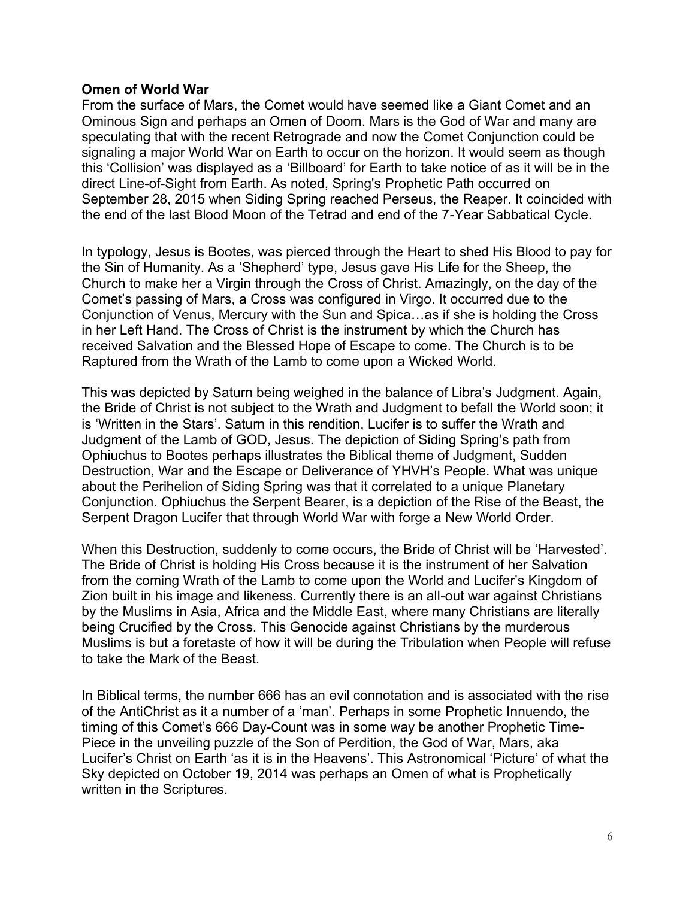#### **Omen of World War**

From the surface of Mars, the Comet would have seemed like a Giant Comet and an Ominous Sign and perhaps an Omen of Doom. Mars is the God of War and many are speculating that with the recent Retrograde and now the Comet Conjunction could be signaling a major World War on Earth to occur on the horizon. It would seem as though this 'Collision' was displayed as a 'Billboard' for Earth to take notice of as it will be in the direct Line-of-Sight from Earth. As noted, Spring's Prophetic Path occurred on September 28, 2015 when Siding Spring reached Perseus, the Reaper. It coincided with the end of the last Blood Moon of the Tetrad and end of the 7-Year Sabbatical Cycle.

In typology, Jesus is Bootes, was pierced through the Heart to shed His Blood to pay for the Sin of Humanity. As a 'Shepherd' type, Jesus gave His Life for the Sheep, the Church to make her a Virgin through the Cross of Christ. Amazingly, on the day of the Comet's passing of Mars, a Cross was configured in Virgo. It occurred due to the Conjunction of Venus, Mercury with the Sun and Spica…as if she is holding the Cross in her Left Hand. The Cross of Christ is the instrument by which the Church has received Salvation and the Blessed Hope of Escape to come. The Church is to be Raptured from the Wrath of the Lamb to come upon a Wicked World.

This was depicted by Saturn being weighed in the balance of Libra's Judgment. Again, the Bride of Christ is not subject to the Wrath and Judgment to befall the World soon; it is 'Written in the Stars'. Saturn in this rendition, Lucifer is to suffer the Wrath and Judgment of the Lamb of GOD, Jesus. The depiction of Siding Spring's path from Ophiuchus to Bootes perhaps illustrates the Biblical theme of Judgment, Sudden Destruction, War and the Escape or Deliverance of YHVH's People. What was unique about the Perihelion of Siding Spring was that it correlated to a unique Planetary Conjunction. Ophiuchus the Serpent Bearer, is a depiction of the Rise of the Beast, the Serpent Dragon Lucifer that through World War with forge a New World Order.

When this Destruction, suddenly to come occurs, the Bride of Christ will be 'Harvested'. The Bride of Christ is holding His Cross because it is the instrument of her Salvation from the coming Wrath of the Lamb to come upon the World and Lucifer's Kingdom of Zion built in his image and likeness. Currently there is an all-out war against Christians by the Muslims in Asia, Africa and the Middle East, where many Christians are literally being Crucified by the Cross. This Genocide against Christians by the murderous Muslims is but a foretaste of how it will be during the Tribulation when People will refuse to take the Mark of the Beast.

In Biblical terms, the number 666 has an evil connotation and is associated with the rise of the AntiChrist as it a number of a 'man'. Perhaps in some Prophetic Innuendo, the timing of this Comet's 666 Day-Count was in some way be another Prophetic Time-Piece in the unveiling puzzle of the Son of Perdition, the God of War, Mars, aka Lucifer's Christ on Earth 'as it is in the Heavens'. This Astronomical 'Picture' of what the Sky depicted on October 19, 2014 was perhaps an Omen of what is Prophetically written in the Scriptures.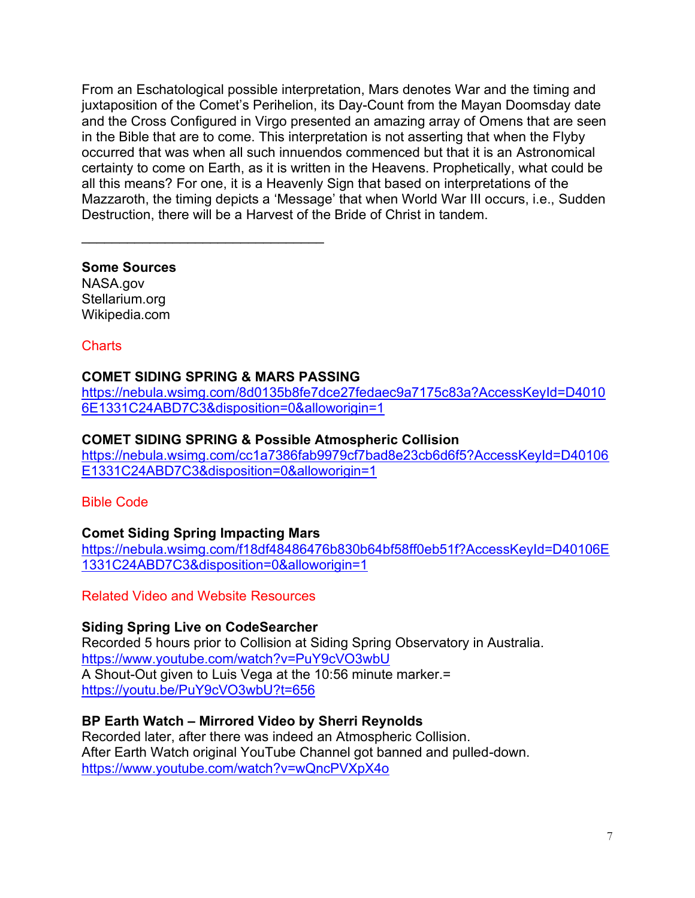From an Eschatological possible interpretation, Mars denotes War and the timing and juxtaposition of the Comet's Perihelion, its Day-Count from the Mayan Doomsday date and the Cross Configured in Virgo presented an amazing array of Omens that are seen in the Bible that are to come. This interpretation is not asserting that when the Flyby occurred that was when all such innuendos commenced but that it is an Astronomical certainty to come on Earth, as it is written in the Heavens. Prophetically, what could be all this means? For one, it is a Heavenly Sign that based on interpretations of the Mazzaroth, the timing depicts a 'Message' that when World War III occurs, i.e., Sudden Destruction, there will be a Harvest of the Bride of Christ in tandem.

**Some Sources** NASA.gov Stellarium.org

Wikipedia.com

Charts

# **COMET SIDING SPRING & MARS PASSING**

 $\mathcal{L}_\text{max}$  , and the set of the set of the set of the set of the set of the set of the set of the set of the set of the set of the set of the set of the set of the set of the set of the set of the set of the set of the

[https://nebula.wsimg.com/8d0135b8fe7dce27fedaec9a7175c83a?AccessKeyId=D4010](https://nebula.wsimg.com/8d0135b8fe7dce27fedaec9a7175c83a?AccessKeyId=D40106E1331C24ABD7C3&disposition=0&alloworigin=1) [6E1331C24ABD7C3&disposition=0&alloworigin=1](https://nebula.wsimg.com/8d0135b8fe7dce27fedaec9a7175c83a?AccessKeyId=D40106E1331C24ABD7C3&disposition=0&alloworigin=1)

# **COMET SIDING SPRING & Possible Atmospheric Collision**

[https://nebula.wsimg.com/cc1a7386fab9979cf7bad8e23cb6d6f5?AccessKeyId=D40106](https://nebula.wsimg.com/cc1a7386fab9979cf7bad8e23cb6d6f5?AccessKeyId=D40106E1331C24ABD7C3&disposition=0&alloworigin=1) [E1331C24ABD7C3&disposition=0&alloworigin=1](https://nebula.wsimg.com/cc1a7386fab9979cf7bad8e23cb6d6f5?AccessKeyId=D40106E1331C24ABD7C3&disposition=0&alloworigin=1)

Bible Code

# **Comet Siding Spring Impacting Mars**

[https://nebula.wsimg.com/f18df48486476b830b64bf58ff0eb51f?AccessKeyId=D40106E](https://nebula.wsimg.com/f18df48486476b830b64bf58ff0eb51f?AccessKeyId=D40106E1331C24ABD7C3&disposition=0&alloworigin=1) [1331C24ABD7C3&disposition=0&alloworigin=1](https://nebula.wsimg.com/f18df48486476b830b64bf58ff0eb51f?AccessKeyId=D40106E1331C24ABD7C3&disposition=0&alloworigin=1)

Related Video and Website Resources

# **Siding Spring Live on CodeSearcher**

Recorded 5 hours prior to Collision at Siding Spring Observatory in Australia. <https://www.youtube.com/watch?v=PuY9cVO3wbU> A Shout-Out given to Luis Vega at the 10:56 minute marker.= <https://youtu.be/PuY9cVO3wbU?t=656>

# **BP Earth Watch – Mirrored Video by Sherri Reynolds**

Recorded later, after there was indeed an Atmospheric Collision. After Earth Watch original YouTube Channel got banned and pulled-down. <https://www.youtube.com/watch?v=wQncPVXpX4o>